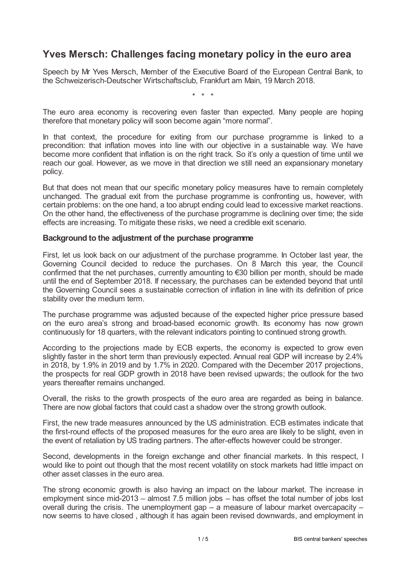## **Yves Mersch: Challenges facing monetary policy in the euro area**

Speech by Mr Yves Mersch, Member of the Executive Board of the European Central Bank, to the Schweizerisch-Deutscher Wirtschaftsclub, Frankfurt am Main, 19 March 2018.

\* \* \*

The euro area economy is recovering even faster than expected. Many people are hoping therefore that monetary policy will soon become again "more normal".

In that context, the procedure for exiting from our purchase programme is linked to a precondition: that inflation moves into line with our objective in a sustainable way. We have become more confident that inflation is on the right track. So it's only a question of time until we reach our goal. However, as we move in that direction we still need an expansionary monetary policy.

But that does not mean that our specific monetary policy measures have to remain completely unchanged. The gradual exit from the purchase programme is confronting us, however, with certain problems: on the one hand, a too abrupt ending could lead to excessive market reactions. On the other hand, the effectiveness of the purchase programme is declining over time; the side effects are increasing. To mitigate these risks, we need a credible exit scenario.

## **Background to the adjustment of the purchase programme**

First, let us look back on our adjustment of the purchase programme. In October last year, the Governing Council decided to reduce the purchases. On 8 March this year, the Council confirmed that the net purchases, currently amounting to €30 billion per month, should be made until the end of September 2018. If necessary, the purchases can be extended beyond that until the Governing Council sees a sustainable correction of inflation in line with its definition of price stability over the medium term.

The purchase programme was adjusted because of the expected higher price pressure based on the euro area's strong and broad-based economic growth. Its economy has now grown continuously for 18 quarters, with the relevant indicators pointing to continued strong growth.

According to the projections made by ECB experts, the economy is expected to grow even slightly faster in the short term than previously expected. Annual real GDP will increase by 2.4% in 2018, by 1.9% in 2019 and by 1.7% in 2020. Compared with the December 2017 projections, the prospects for real GDP growth in 2018 have been revised upwards; the outlook for the two years thereafter remains unchanged.

Overall, the risks to the growth prospects of the euro area are regarded as being in balance. There are now global factors that could cast a shadow over the strong growth outlook.

First, the new trade measures announced by the US administration. ECB estimates indicate that the first-round effects of the proposed measures for the euro area are likely to be slight, even in the event of retaliation by US trading partners. The after-effects however could be stronger.

Second, developments in the foreign exchange and other financial markets. In this respect, I would like to point out though that the most recent volatility on stock markets had little impact on other asset classes in the euro area.

The strong economic growth is also having an impact on the labour market. The increase in employment since mid-2013 – almost 7.5 million jobs – has offset the total number of jobs lost overall during the crisis. The unemployment gap – a measure of labour market overcapacity – now seems to have closed , although it has again been revised downwards, and employment in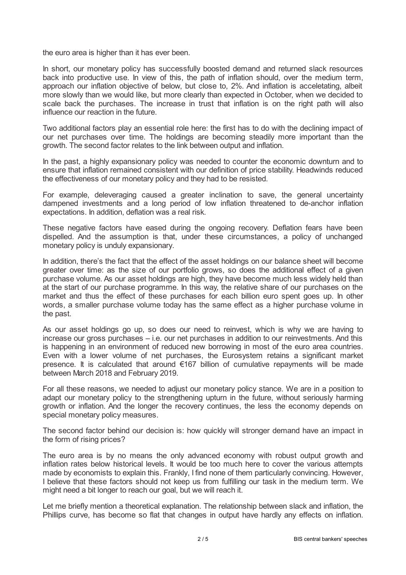the euro area is higher than it has ever been.

In short, our monetary policy has successfully boosted demand and returned slack resources back into productive use. In view of this, the path of inflation should, over the medium term, approach our inflation objective of below, but close to, 2%. And inflation is acceletating, albeit more slowly than we would like, but more clearly than expected in October, when we decided to scale back the purchases. The increase in trust that inflation is on the right path will also influence our reaction in the future.

Two additional factors play an essential role here: the first has to do with the declining impact of our net purchases over time. The holdings are becoming steadily more important than the growth. The second factor relates to the link between output and inflation.

In the past, a highly expansionary policy was needed to counter the economic downturn and to ensure that inflation remained consistent with our definition of price stability. Headwinds reduced the effectiveness of our monetary policy and they had to be resisted.

For example, deleveraging caused a greater inclination to save, the general uncertainty dampened investments and a long period of low inflation threatened to de-anchor inflation expectations. In addition, deflation was a real risk.

These negative factors have eased during the ongoing recovery. Deflation fears have been dispelled. And the assumption is that, under these circumstances, a policy of unchanged monetary policy is unduly expansionary.

In addition, there's the fact that the effect of the asset holdings on our balance sheet will become greater over time: as the size of our portfolio grows, so does the additional effect of a given purchase volume. As our asset holdings are high, they have become much less widely held than at the start of our purchase programme. In this way, the relative share of our purchases on the market and thus the effect of these purchases for each billion euro spent goes up. In other words, a smaller purchase volume today has the same effect as a higher purchase volume in the past.

As our asset holdings go up, so does our need to reinvest, which is why we are having to increase our gross purchases – i.e. our net purchases in addition to our reinvestments. And this is happening in an environment of reduced new borrowing in most of the euro area countries. Even with a lower volume of net purchases, the Eurosystem retains a significant market presence. It is calculated that around €167 billion of cumulative repayments will be made between March 2018 and February 2019.

For all these reasons, we needed to adjust our monetary policy stance. We are in a position to adapt our monetary policy to the strengthening upturn in the future, without seriously harming growth or inflation. And the longer the recovery continues, the less the economy depends on special monetary policy measures.

The second factor behind our decision is: how quickly will stronger demand have an impact in the form of rising prices?

The euro area is by no means the only advanced economy with robust output growth and inflation rates below historical levels. It would be too much here to cover the various attempts made by economists to explain this. Frankly, I find none of them particularly convincing. However, I believe that these factors should not keep us from fulfilling our task in the medium term. We might need a bit longer to reach our goal, but we will reach it.

Let me briefly mention a theoretical explanation. The relationship between slack and inflation, the Phillips curve, has become so flat that changes in output have hardly any effects on inflation.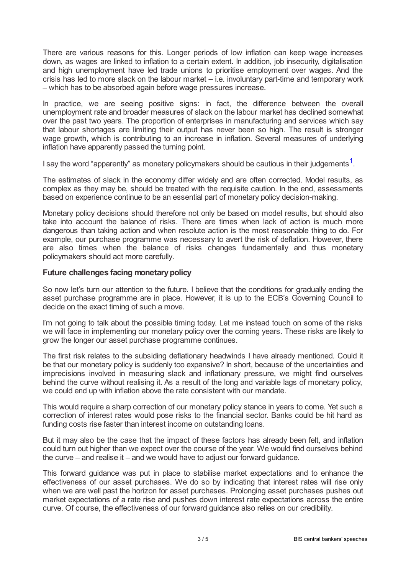There are various reasons for this. Longer periods of low inflation can keep wage increases down, as wages are linked to inflation to a certain extent. In addition, job insecurity, digitalisation and high unemployment have led trade unions to prioritise employment over wages. And the crisis has led to more slack on the labour market – i.e. involuntary part-time and temporary work – which has to be absorbed again before wage pressures increase.

In practice, we are seeing positive signs: in fact, the difference between the overall unemployment rate and broader measures of slack on the labour market has declined somewhat over the past two years. The proportion of enterprises in manufacturing and services which say that labour shortages are limiting their output has never been so high. The result is stronger wage growth, which is contributing to an increase in inflation. Several measures of underlying inflation have apparently passed the turning point.

<span id="page-2-0"></span>I say the word "apparently" as monetary policymakers should be cautious in their judgements $^{\underline{1}}$  $^{\underline{1}}$  $^{\underline{1}}$ .

The estimates of slack in the economy differ widely and are often corrected. Model results, as complex as they may be, should be treated with the requisite caution. In the end, assessments based on experience continue to be an essential part of monetary policy decision-making.

Monetary policy decisions should therefore not only be based on model results, but should also take into account the balance of risks. There are times when lack of action is much more dangerous than taking action and when resolute action is the most reasonable thing to do. For example, our purchase programme was necessary to avert the risk of deflation. However, there are also times when the balance of risks changes fundamentally and thus monetary policymakers should act more carefully.

## **Future challenges facing monetarypolicy**

So now let's turn our attention to the future. I believe that the conditions for gradually ending the asset purchase programme are in place. However, it is up to the ECB's Governing Council to decide on the exact timing of such a move.

I'm not going to talk about the possible timing today. Let me instead touch on some of the risks we will face in implementing our monetary policy over the coming years. These risks are likely to grow the longer our asset purchase programme continues.

The first risk relates to the subsiding deflationary headwinds I have already mentioned. Could it be that our monetary policy is suddenly too expansive? In short, because of the uncertainties and imprecisions involved in measuring slack and inflationary pressure, we might find ourselves behind the curve without realising it. As a result of the long and variable lags of monetary policy, we could end up with inflation above the rate consistent with our mandate.

This would require a sharp correction of our monetary policy stance in years to come. Yet such a correction of interest rates would pose risks to the financial sector. Banks could be hit hard as funding costs rise faster than interest income on outstanding loans.

But it may also be the case that the impact of these factors has already been felt, and inflation could turn out higher than we expect over the course of the year. We would find ourselves behind the curve – and realise it – and we would have to adjust our forward guidance.

This forward guidance was put in place to stabilise market expectations and to enhance the effectiveness of our asset purchases. We do so by indicating that interest rates will rise only when we are well past the horizon for asset purchases. Prolonging asset purchases pushes out market expectations of a rate rise and pushes down interest rate expectations across the entire curve. Of course, the effectiveness of our forward guidance also relies on our credibility.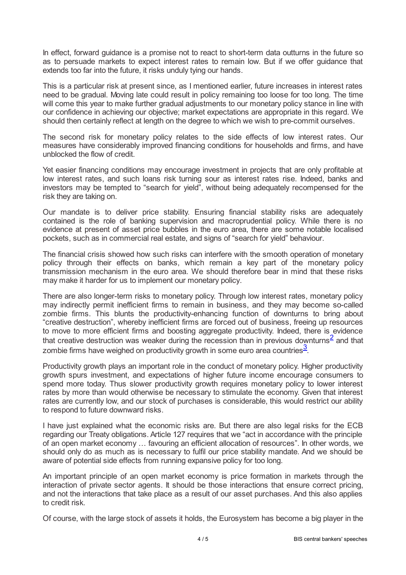In effect, forward guidance is a promise not to react to short-term data outturns in the future so as to persuade markets to expect interest rates to remain low. But if we offer guidance that extends too far into the future, it risks unduly tying our hands.

This is a particular risk at present since, as I mentioned earlier, future increases in interest rates need to be gradual. Moving late could result in policy remaining too loose for too long. The time will come this year to make further gradual adjustments to our monetary policy stance in line with our confidence in achieving our objective; market expectations are appropriate in this regard. We should then certainly reflect at length on the degree to which we wish to pre-commit ourselves.

The second risk for monetary policy relates to the side effects of low interest rates. Our measures have considerably improved financing conditions for households and firms, and have unblocked the flow of credit.

Yet easier financing conditions may encourage investment in projects that are only profitable at low interest rates, and such loans risk turning sour as interest rates rise. Indeed, banks and investors may be tempted to "search for yield", without being adequately recompensed for the risk they are taking on.

Our mandate is to deliver price stability. Ensuring financial stability risks are adequately contained is the role of banking supervision and macroprudential policy. While there is no evidence at present of asset price bubbles in the euro area, there are some notable localised pockets, such as in commercial real estate, and signs of "search for yield" behaviour.

The financial crisis showed how such risks can interfere with the smooth operation of monetary policy through their effects on banks, which remain a key part of the monetary policy transmission mechanism in the euro area. We should therefore bear in mind that these risks may make it harder for us to implement our monetary policy.

There are also longer-term risks to monetary policy. Through low interest rates, monetary policy may indirectly permit inefficient firms to remain in business, and they may become so-called zombie firms. This blunts the productivity-enhancing function of downturns to bring about "creative destruction", whereby inefficient firms are forced out of business, freeing up resources to move to more efficient firms and boosting aggregate productivity. Indeed, there is evidence that creative destruction was weaker during the recession than in previous downturns<sup>[2](#page-4-1)</sup> and that zombie firms have weighed on productivity growth in some euro area countries $^{\frac{3}{2}}$  $^{\frac{3}{2}}$  $^{\frac{3}{2}}$ .

<span id="page-3-1"></span><span id="page-3-0"></span>Productivity growth plays an important role in the conduct of monetary policy. Higher productivity growth spurs investment, and expectations of higher future income encourage consumers to spend more today. Thus slower productivity growth requires monetary policy to lower interest rates by more than would otherwise be necessary to stimulate the economy. Given that interest rates are currently low, and our stock of purchases is considerable, this would restrict our ability to respond to future downward risks.

I have just explained what the economic risks are. But there are also legal risks for the ECB regarding our Treaty obligations. Article 127 requires that we "act in accordance with the principle of an open market economy … favouring an efficient allocation of resources". In other words, we should only do as much as is necessary to fulfil our price stability mandate. And we should be aware of potential side effects from running expansive policy for too long.

An important principle of an open market economy is price formation in markets through the interaction of private sector agents. It should be those interactions that ensure correct pricing, and not the interactions that take place as a result of our asset purchases. And this also applies to credit risk.

Of course, with the large stock of assets it holds, the Eurosystem has become a big player in the